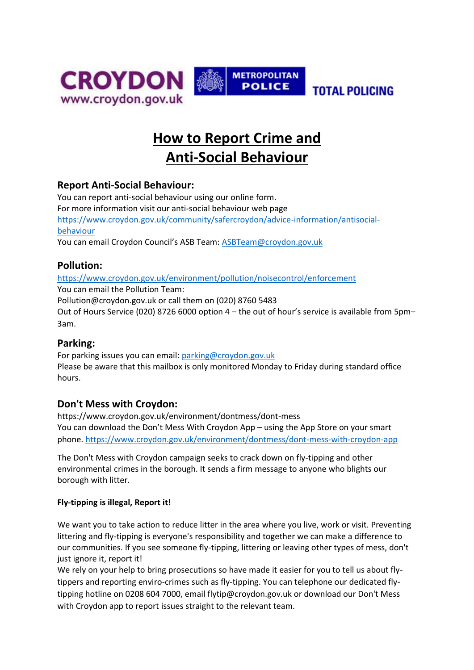



**TOTAL POLICING** 

# **How to Report Crime and Anti-Social Behaviour**

## **Report Anti-Social Behaviour:**

You can report anti-social behaviour using our online form. For more information visit our anti-social behaviour web page [https://www.croydon.gov.uk/community/safercroydon/advice-information/antisocial](https://www.croydon.gov.uk/community/safercroydon/advice-information/antisocial-behaviour)[behaviour](https://www.croydon.gov.uk/community/safercroydon/advice-information/antisocial-behaviour) You can email Croydon Council's ASB Team: [ASBTeam@croydon.gov.uk](mailto:ASBTeam@croydon.gov.uk)

## **Pollution:**

<https://www.croydon.gov.uk/environment/pollution/noisecontrol/enforcement> You can email the Pollution Team: Pollution@croydon.gov.uk or call them on (020) 8760 5483

Out of Hours Service (020) 8726 6000 option 4 – the out of hour's service is available from 5pm– 3am.

## **Parking:**

For parking issues you can email: [parking@croydon.gov.uk](mailto:parking@croydon.gov.uk) Please be aware that this mailbox is only monitored Monday to Friday during standard office hours.

## **Don't Mess with Croydon:**

https://www.croydon.gov.uk/environment/dontmess/dont-mess You can download the Don't Mess With Croydon App – using the App Store on your smart phone.<https://www.croydon.gov.uk/environment/dontmess/dont-mess-with-croydon-app>

The Don't Mess with Croydon campaign seeks to crack down on fly-tipping and other environmental crimes in the borough. It sends a firm message to anyone who blights our borough with litter.

#### **Fly-tipping is illegal, Report it!**

We want you to take action to reduce litter in the area where you live, work or visit. Preventing littering and fly-tipping is everyone's responsibility and together we can make a difference to our communities. If you see someone fly-tipping, littering or leaving other types of mess, don't just ignore it, report it!

We rely on your help to bring prosecutions so have made it easier for you to tell us about flytippers and reporting enviro-crimes such as fly-tipping. You can telephone our dedicated flytipping hotline on 0208 604 7000, email flytip@croydon.gov.uk or download our Don't Mess with Croydon app to report issues straight to the relevant team.